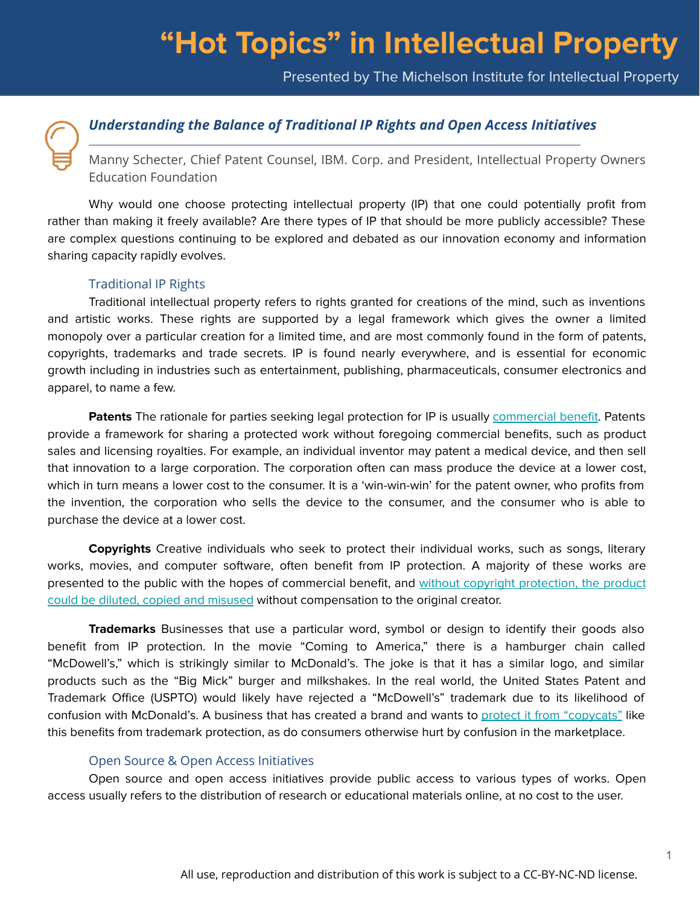Presented by The Michelson Institute for Intellectual Property



## *Understanding the Balance of Traditional IP Rights and Open Access Initiatives*

Manny Schecter, Chief Patent Counsel, IBM. Corp. and President, Intellectual Property Owners Education Foundation

Why would one choose protecting intellectual property (IP) that one could potentially profit from rather than making it freely available? Are there types of IP that should be more publicly accessible? These are complex questions continuing to be explored and debated as our innovation economy and information sharing capacity rapidly evolves.

#### Traditional IP Rights

Traditional intellectual property refers to rights granted for creations of the mind, such as inventions and artistic works. These rights are supported by a legal framework which gives the owner a limited monopoly over a particular creation for a limited time, and are most commonly found in the form of patents, copyrights, trademarks and trade secrets. IP is found nearly everywhere, and is essential for economic growth including in industries such as entertainment, publishing, pharmaceuticals, consumer electronics and apparel, to name a few.

**Patents** The rationale for parties seeking legal protection for IP is usually [commercial benefit](https://www.youtube.com/watch?v=lxwnIM115YU&list=PLDE5rhcpiAt_GDTYORzG11FAVhrHzkEjE&index=3&t=2s). Patents provide a framework for sharing a protected work without foregoing commercial benefits, such as product sales and licensing royalties. For example, an individual inventor may patent a medical device, and then sell that innovation to a large corporation. The corporation often can mass produce the device at a lower cost, which in turn means a lower cost to the consumer. It is a 'win-win-win' for the patent owner, who profits from the invention, the corporation who sells the device to the consumer, and the consumer who is able to purchase the device at a lower cost.

**Copyrights** Creative individuals who seek to protect their individual works, such as songs, literary works, movies, and computer software, often benefit from IP protection. A majority of these works are presented to the public with the hopes of commercial benefit, and [without copyright protection, the product](https://www.youtube.com/watch?v=uxdrzOz0A0A&list=PLDE5rhcpiAt_GDTYORzG11FAVhrHzkEjE&index=6) [could be diluted, copied and misused](https://www.youtube.com/watch?v=uxdrzOz0A0A&list=PLDE5rhcpiAt_GDTYORzG11FAVhrHzkEjE&index=6) without compensation to the original creator.

**Trademarks** Businesses that use a particular word, symbol or design to identify their goods also benefit from IP protection. In the movie "Coming to America," there is a hamburger chain called "McDowell's," which is strikingly similar to McDonald's. The joke is that it has a similar logo, and similar products such as the "Big Mick" burger and milkshakes. In the real world, the United States Patent and Trademark Office (USPTO) would likely have rejected a "McDowell's" trademark due to its likelihood of confusion with McDonald's. A business that has created a brand and wants to [protect it from "copycats"](https://www.youtube.com/watch?v=uiorfkizvqo&list=PLDE5rhcpiAt_GDTYORzG11FAVhrHzkEjE&index=9&t=47s) like this benefits from trademark protection, as do consumers otherwise hurt by confusion in the marketplace.

#### Open Source & Open Access Initiatives

Open source and open access initiatives provide public access to various types of works. Open access usually refers to the distribution of research or educational materials online, at no cost to the user.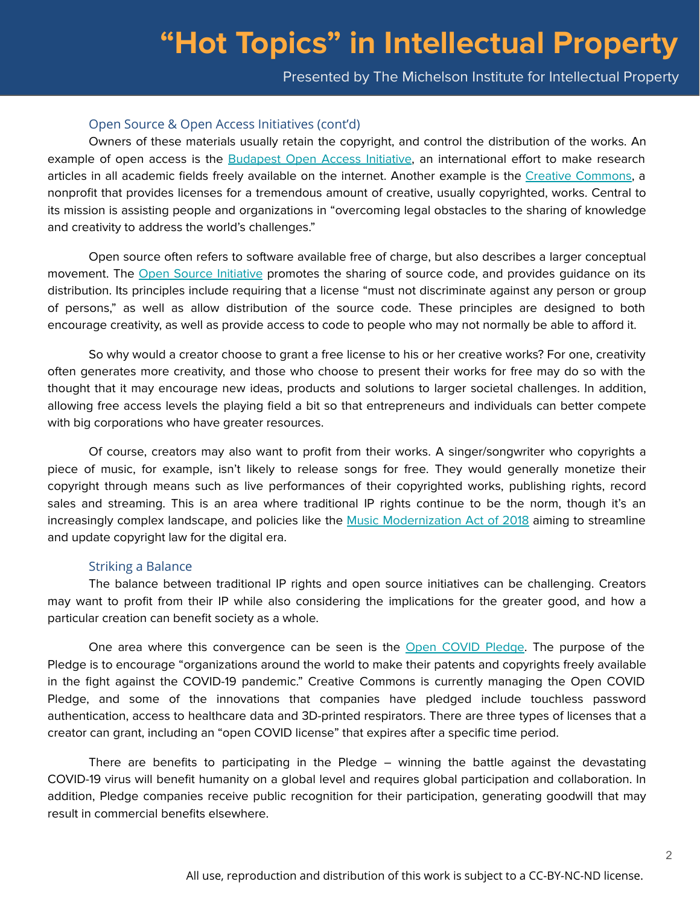Presented by The Michelson Institute for Intellectual Property

### Open Source & Open Access Initiatives (cont'd)

Owners of these materials usually retain the copyright, and control the distribution of the works. An example of open access is the [Budapest Open Access Initiative](https://www.budapestopenaccessinitiative.org/), an international effort to make research articles in all academic fields freely available on the internet. Another example is the [Creative Commons,](https://creativecommons.org/) a nonprofit that provides licenses for a tremendous amount of creative, usually copyrighted, works. Central to its mission is assisting people and organizations in "overcoming legal obstacles to the sharing of knowledge and creativity to address the world's challenges."

Open source often refers to software available free of charge, but also describes a larger conceptual movement. The [Open Source Initiative](https://opensource.org/) promotes the sharing of source code, and provides guidance on its distribution. Its principles include requiring that a license "must not discriminate against any person or group of persons," as well as allow distribution of the source code. These principles are designed to both encourage creativity, as well as provide access to code to people who may not normally be able to afford it.

So why would a creator choose to grant a free license to his or her creative works? For one, creativity often generates more creativity, and those who choose to present their works for free may do so with the thought that it may encourage new ideas, products and solutions to larger societal challenges. In addition, allowing free access levels the playing field a bit so that entrepreneurs and individuals can better compete with big corporations who have greater resources.

Of course, creators may also want to profit from their works. A singer/songwriter who copyrights a piece of music, for example, isn't likely to release songs for free. They would generally monetize their copyright through means such as live performances of their copyrighted works, publishing rights, record sales and streaming. This is an area where traditional IP rights continue to be the norm, though it's an increasingly complex landscape, and policies like the [Music Modernization Act of 2018](https://www.vox.com/culture/2018/10/11/17965690/music-modernization-act-copyright-law-licensing-streaming) aiming to streamline and update copyright law for the digital era.

#### Striking a Balance

The balance between traditional IP rights and open source initiatives can be challenging. Creators may want to profit from their IP while also considering the implications for the greater good, and how a particular creation can benefit society as a whole.

One area where this convergence can be seen is the [Open COVID Pledge.](https://opencovidpledge.org/) The purpose of the Pledge is to encourage "organizations around the world to make their patents and copyrights freely available in the fight against the COVID-19 pandemic." Creative Commons is currently managing the Open COVID Pledge, and some of the innovations that companies have pledged include touchless password authentication, access to healthcare data and 3D-printed respirators. There are three types of licenses that a creator can grant, including an "open COVID license" that expires after a specific time period.

There are benefits to participating in the Pledge – winning the battle against the devastating COVID-19 virus will benefit humanity on a global level and requires global participation and collaboration. In addition, Pledge companies receive public recognition for their participation, generating goodwill that may result in commercial benefits elsewhere.